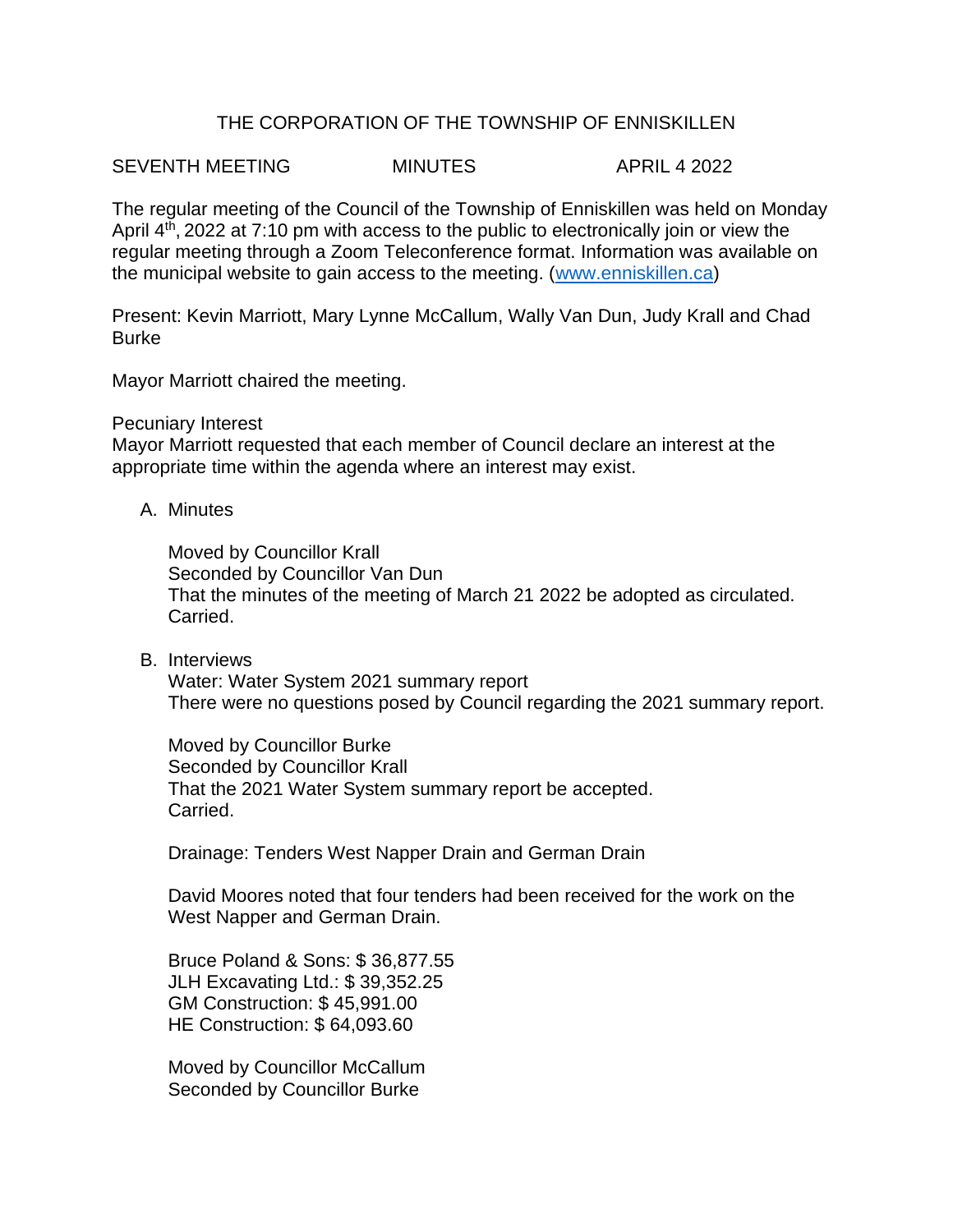## THE CORPORATION OF THE TOWNSHIP OF ENNISKILLEN

SEVENTH MEETING MINUTES APRIL 4 2022

The regular meeting of the Council of the Township of Enniskillen was held on Monday April 4<sup>th</sup>, 2022 at 7:10 pm with access to the public to electronically join or view the regular meeting through a Zoom Teleconference format. Information was available on the municipal website to gain access to the meeting. [\(www.enniskillen.ca\)](http://www.enniskillen.ca/)

Present: Kevin Marriott, Mary Lynne McCallum, Wally Van Dun, Judy Krall and Chad Burke

Mayor Marriott chaired the meeting.

## Pecuniary Interest

Mayor Marriott requested that each member of Council declare an interest at the appropriate time within the agenda where an interest may exist.

A. Minutes

Moved by Councillor Krall Seconded by Councillor Van Dun That the minutes of the meeting of March 21 2022 be adopted as circulated. Carried.

B. Interviews

Water: Water System 2021 summary report There were no questions posed by Council regarding the 2021 summary report.

Moved by Councillor Burke Seconded by Councillor Krall That the 2021 Water System summary report be accepted. Carried.

Drainage: Tenders West Napper Drain and German Drain

David Moores noted that four tenders had been received for the work on the West Napper and German Drain.

Bruce Poland & Sons: \$ 36,877.55 JLH Excavating Ltd.: \$ 39,352.25 GM Construction: \$ 45,991.00 HE Construction: \$ 64,093.60

Moved by Councillor McCallum Seconded by Councillor Burke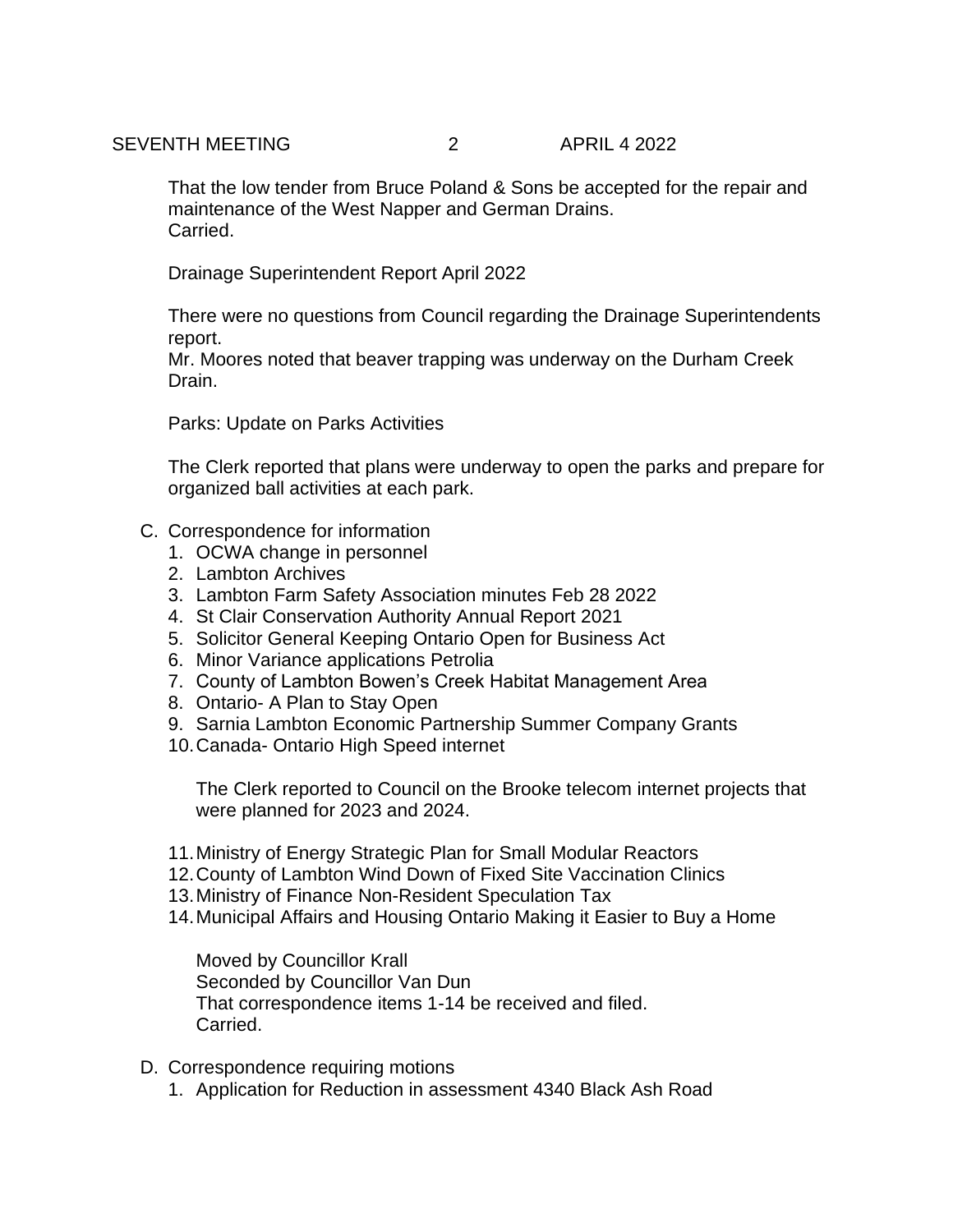That the low tender from Bruce Poland & Sons be accepted for the repair and maintenance of the West Napper and German Drains. Carried.

Drainage Superintendent Report April 2022

There were no questions from Council regarding the Drainage Superintendents report.

Mr. Moores noted that beaver trapping was underway on the Durham Creek Drain.

Parks: Update on Parks Activities

The Clerk reported that plans were underway to open the parks and prepare for organized ball activities at each park.

- C. Correspondence for information
	- 1. OCWA change in personnel
	- 2. Lambton Archives
	- 3. Lambton Farm Safety Association minutes Feb 28 2022
	- 4. St Clair Conservation Authority Annual Report 2021
	- 5. Solicitor General Keeping Ontario Open for Business Act
	- 6. Minor Variance applications Petrolia
	- 7. County of Lambton Bowen's Creek Habitat Management Area
	- 8. Ontario- A Plan to Stay Open
	- 9. Sarnia Lambton Economic Partnership Summer Company Grants
	- 10.Canada- Ontario High Speed internet

The Clerk reported to Council on the Brooke telecom internet projects that were planned for 2023 and 2024.

- 11.Ministry of Energy Strategic Plan for Small Modular Reactors
- 12.County of Lambton Wind Down of Fixed Site Vaccination Clinics
- 13.Ministry of Finance Non-Resident Speculation Tax
- 14.Municipal Affairs and Housing Ontario Making it Easier to Buy a Home

Moved by Councillor Krall Seconded by Councillor Van Dun That correspondence items 1-14 be received and filed. Carried.

- D. Correspondence requiring motions
	- 1. Application for Reduction in assessment 4340 Black Ash Road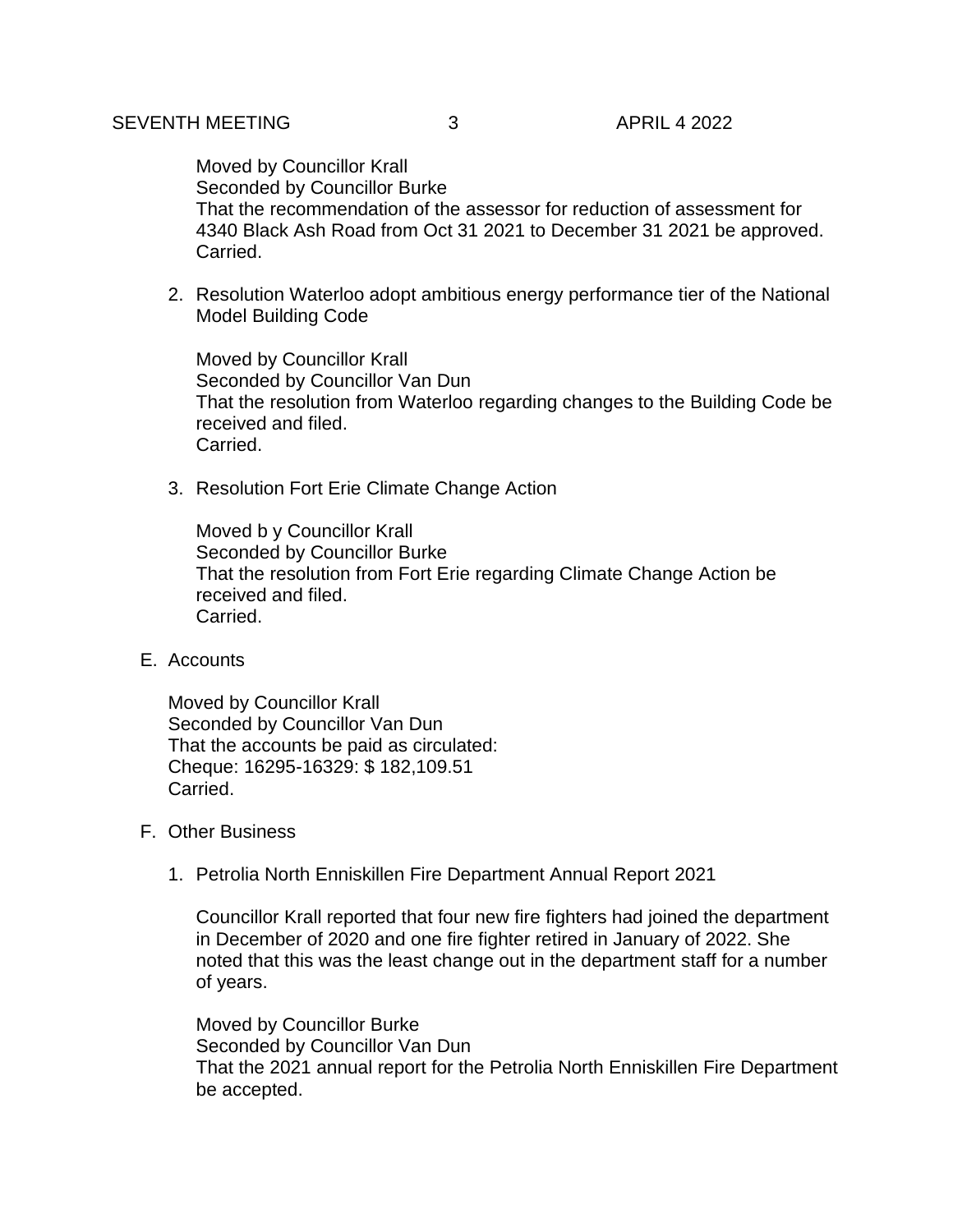Moved by Councillor Krall Seconded by Councillor Burke That the recommendation of the assessor for reduction of assessment for 4340 Black Ash Road from Oct 31 2021 to December 31 2021 be approved. Carried.

2. Resolution Waterloo adopt ambitious energy performance tier of the National Model Building Code

Moved by Councillor Krall Seconded by Councillor Van Dun That the resolution from Waterloo regarding changes to the Building Code be received and filed. Carried.

3. Resolution Fort Erie Climate Change Action

Moved b y Councillor Krall Seconded by Councillor Burke That the resolution from Fort Erie regarding Climate Change Action be received and filed. Carried.

E. Accounts

Moved by Councillor Krall Seconded by Councillor Van Dun That the accounts be paid as circulated: Cheque: 16295-16329: \$ 182,109.51 Carried.

- F. Other Business
	- 1. Petrolia North Enniskillen Fire Department Annual Report 2021

Councillor Krall reported that four new fire fighters had joined the department in December of 2020 and one fire fighter retired in January of 2022. She noted that this was the least change out in the department staff for a number of years.

Moved by Councillor Burke Seconded by Councillor Van Dun That the 2021 annual report for the Petrolia North Enniskillen Fire Department be accepted.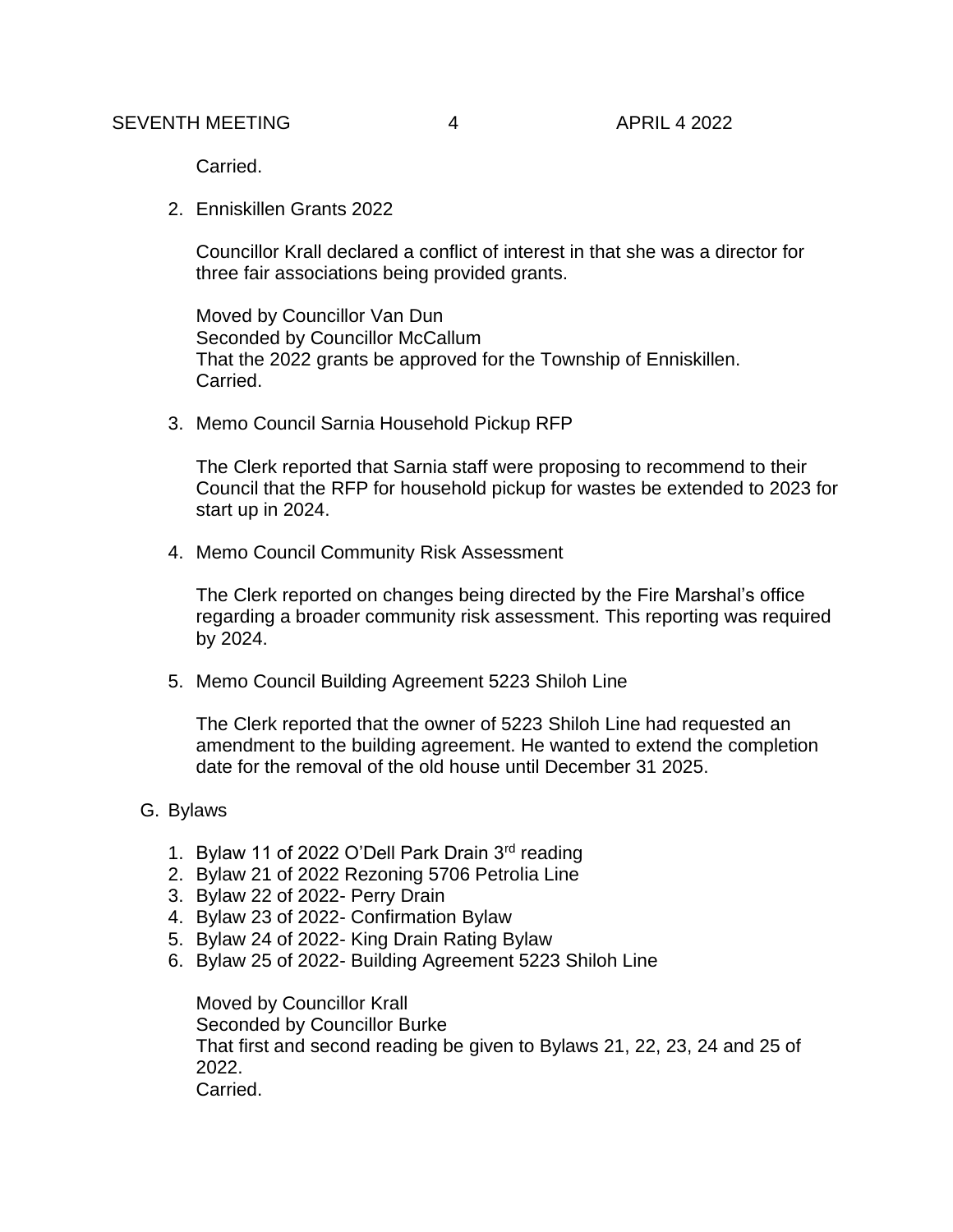Carried.

2. Enniskillen Grants 2022

Councillor Krall declared a conflict of interest in that she was a director for three fair associations being provided grants.

Moved by Councillor Van Dun Seconded by Councillor McCallum That the 2022 grants be approved for the Township of Enniskillen. Carried.

3. Memo Council Sarnia Household Pickup RFP

The Clerk reported that Sarnia staff were proposing to recommend to their Council that the RFP for household pickup for wastes be extended to 2023 for start up in 2024.

4. Memo Council Community Risk Assessment

The Clerk reported on changes being directed by the Fire Marshal's office regarding a broader community risk assessment. This reporting was required by 2024.

5. Memo Council Building Agreement 5223 Shiloh Line

The Clerk reported that the owner of 5223 Shiloh Line had requested an amendment to the building agreement. He wanted to extend the completion date for the removal of the old house until December 31 2025.

- G. Bylaws
	- 1. Bylaw 11 of 2022 O'Dell Park Drain 3rd reading
	- 2. Bylaw 21 of 2022 Rezoning 5706 Petrolia Line
	- 3. Bylaw 22 of 2022- Perry Drain
	- 4. Bylaw 23 of 2022- Confirmation Bylaw
	- 5. Bylaw 24 of 2022- King Drain Rating Bylaw
	- 6. Bylaw 25 of 2022- Building Agreement 5223 Shiloh Line

Moved by Councillor Krall Seconded by Councillor Burke That first and second reading be given to Bylaws 21, 22, 23, 24 and 25 of 2022. Carried.